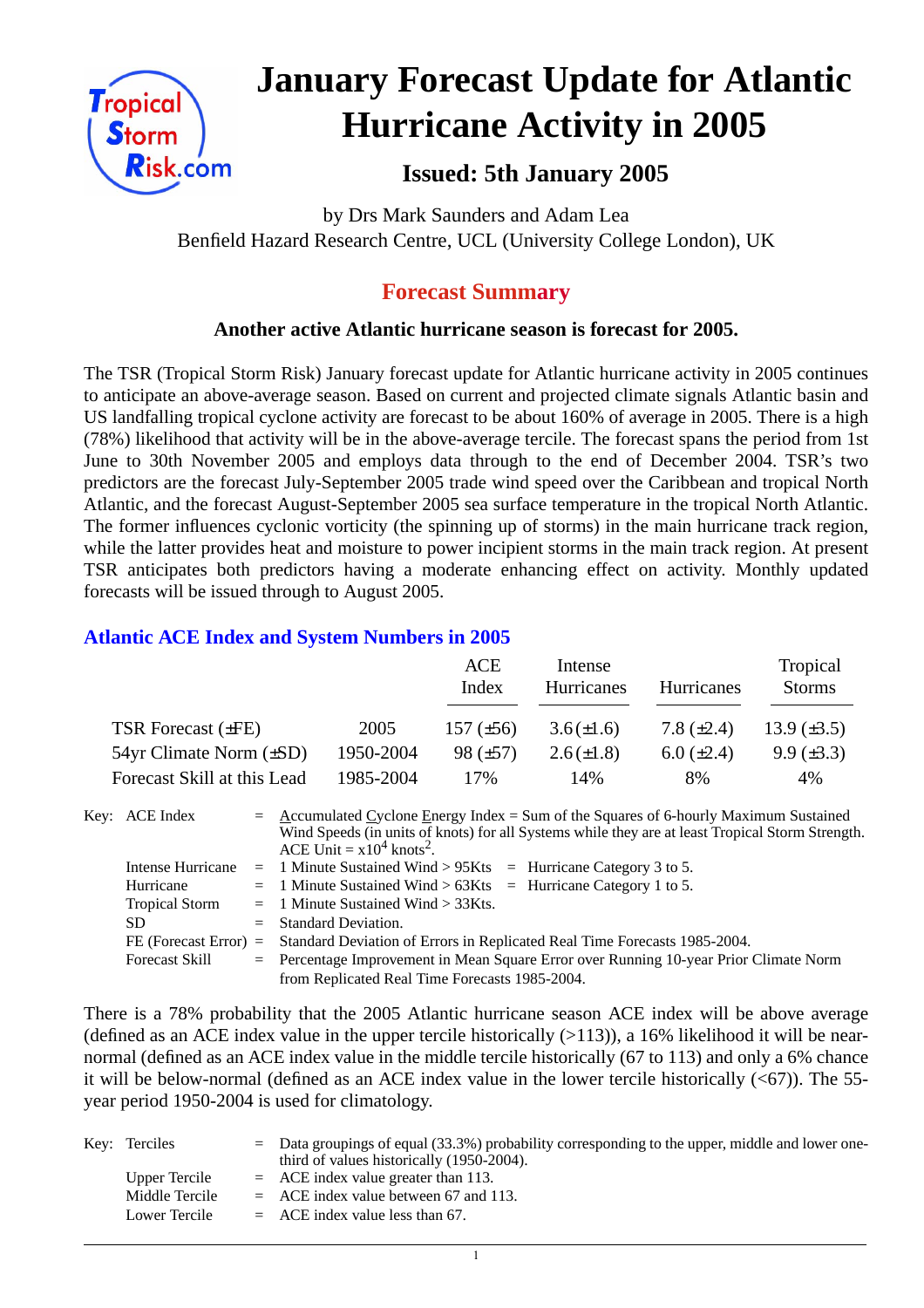

# **January Forecast Update for Atlantic Hurricane Activity in 2005**

# **Issued: 5th January 2005**

by Drs Mark Saunders and Adam Lea Benfield Hazard Research Centre, UCL (University College London), UK

# **Forecast Summary**

# **Another active Atlantic hurricane season is forecast for 2005.**

The TSR (Tropical Storm Risk) January forecast update for Atlantic hurricane activity in 2005 continues to anticipate an above-average season. Based on current and projected climate signals Atlantic basin and US landfalling tropical cyclone activity are forecast to be about 160% of average in 2005. There is a high (78%) likelihood that activity will be in the above-average tercile. The forecast spans the period from 1st June to 30th November 2005 and employs data through to the end of December 2004. TSR's two predictors are the forecast July-September 2005 trade wind speed over the Caribbean and tropical North Atlantic, and the forecast August-September 2005 sea surface temperature in the tropical North Atlantic. The former influences cyclonic vorticity (the spinning up of storms) in the main hurricane track region, while the latter provides heat and moisture to power incipient storms in the main track region. At present TSR anticipates both predictors having a moderate enhancing effect on activity. Monthly updated forecasts will be issued through to August 2005.

## **Atlantic ACE Index and System Numbers in 2005**

|                                |           | ACE<br>Index   | Intense<br><b>Hurricanes</b> | Hurricanes        | Tropical<br><b>Storms</b> |
|--------------------------------|-----------|----------------|------------------------------|-------------------|---------------------------|
| TSR Forecast $(\pm FE)$        | 2005      | 157 $(\pm 56)$ | $3.6(\pm 1.6)$               | 7.8 $(\pm 2.4)$   | 13.9 $(\pm 3.5)$          |
| $54yr$ Climate Norm $(\pm SD)$ | 1950-2004 | $98 (\pm 57)$  | $2.6(\pm 1.8)$               | $6.0 \ (\pm 2.4)$ | $9.9 \ (\pm 3.3)$         |
| Forecast Skill at this Lead    | 1985-2004 | 17%            | 14%                          | 8%                | 4%                        |

Key: ACE Index =  $\triangle$  ccumulated Cyclone Energy Index = Sum of the Squares of 6-hourly Maximum Sustained Wind Speeds (in units of knots) for all Systems while they are at least Tropical Storm Strength. ACE Unit  $= x10^4$  knots<sup>2</sup>. Intense Hurricane = 1 Minute Sustained Wind > 95Kts = Hurricane Category 3 to 5. Hurricane  $= 1$  Minute Sustained Wind  $> 63K$ ts = Hurricane Category 1 to 5. Tropical Storm = 1 Minute Sustained Wind > 33Kts. SD = Standard Deviation. FE (Forecast Error) = Standard Deviation of Errors in Replicated Real Time Forecasts 1985-2004.

Forecast Skill = Percentage Improvement in Mean Square Error over Running 10-year Prior Climate Norm from Replicated Real Time Forecasts 1985-2004.

There is a 78% probability that the 2005 Atlantic hurricane season ACE index will be above average (defined as an ACE index value in the upper tercile historically  $(>113)$ ), a 16% likelihood it will be nearnormal (defined as an ACE index value in the middle tercile historically (67 to 113) and only a 6% chance it will be below-normal (defined as an ACE index value in the lower tercile historically  $( $67$ )$ ). The 55year period 1950-2004 is used for climatology.

| Key: Terciles  | $=$ Data groupings of equal (33.3%) probability corresponding to the upper, middle and lower one-<br>third of values historically (1950-2004). |
|----------------|------------------------------------------------------------------------------------------------------------------------------------------------|
| Upper Tercile  | $=$ ACE index value greater than 113.                                                                                                          |
| Middle Tercile | $=$ ACE index value between 67 and 113.                                                                                                        |
| Lower Tercile  | $=$ ACE index value less than 67.                                                                                                              |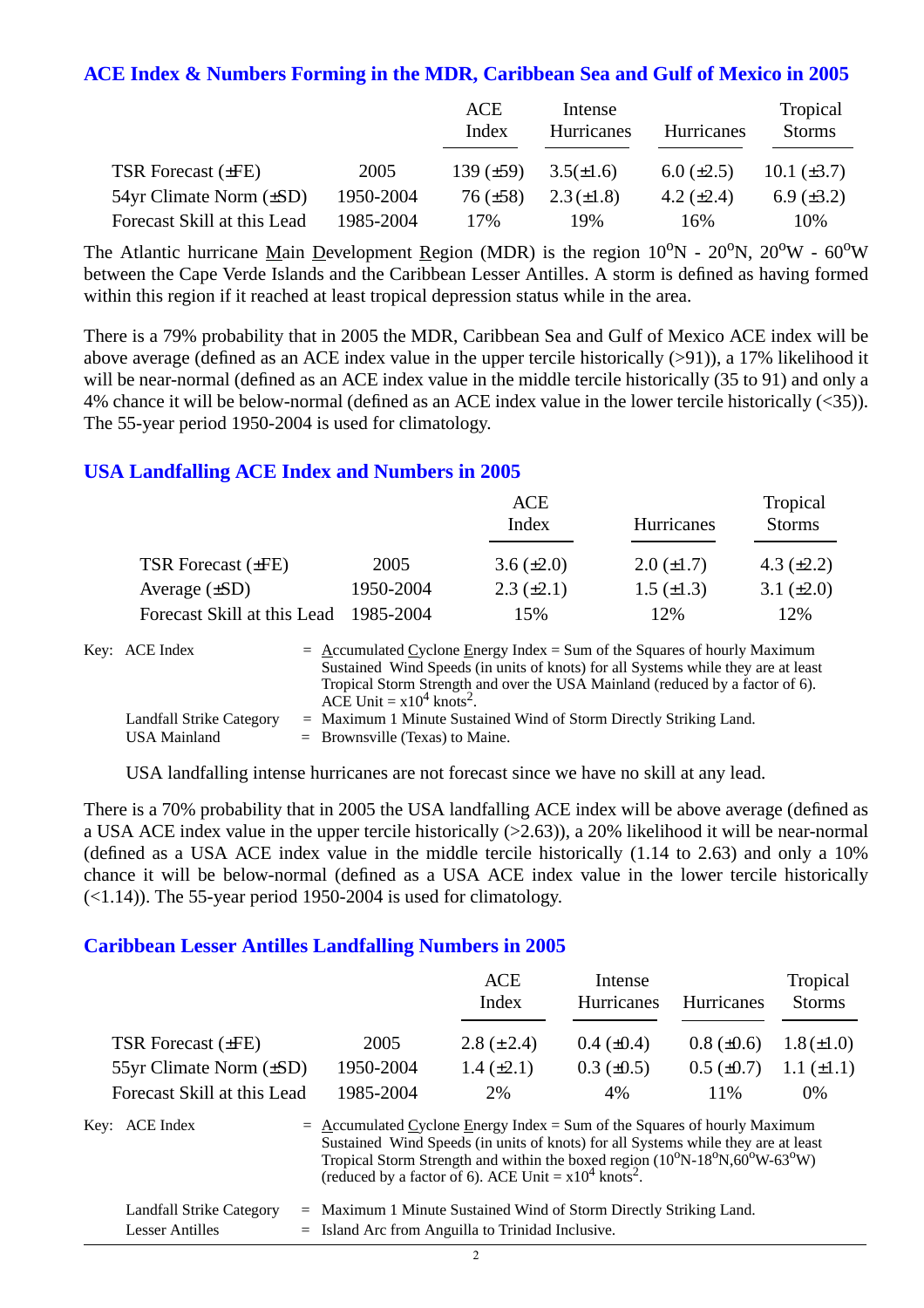#### **ACE Index & Numbers Forming in the MDR, Caribbean Sea and Gulf of Mexico in 2005**

|                                |           | ACE<br>Index    | Intense<br><b>Hurricanes</b> | Hurricanes        | Tropical<br><b>Storms</b> |
|--------------------------------|-----------|-----------------|------------------------------|-------------------|---------------------------|
| TSR Forecast $(\pm FE)$        | 2005      | 139 $(\pm 59)$  | $3.5(\pm 1.6)$               | $6.0 \ (\pm 2.5)$ | $10.1 (\pm 3.7)$          |
| $54yr$ Climate Norm $(\pm SD)$ | 1950-2004 | $76 \ (\pm 58)$ | $2.3(\pm 1.8)$               | 4.2 $(\pm 2.4)$   | 6.9 $(\pm 3.2)$           |
| Forecast Skill at this Lead    | 1985-2004 | 17%             | 19%                          | 16%               | 10%                       |

The Atlantic hurricane Main Development Region (MDR) is the region  $10^{\circ}N - 20^{\circ}N$ ,  $20^{\circ}W - 60^{\circ}W$ between the Cape Verde Islands and the Caribbean Lesser Antilles. A storm is defined as having formed within this region if it reached at least tropical depression status while in the area.

There is a 79% probability that in 2005 the MDR, Caribbean Sea and Gulf of Mexico ACE index will be above average (defined as an ACE index value in the upper tercile historically (>91)), a 17% likelihood it will be near-normal (defined as an ACE index value in the middle tercile historically (35 to 91) and only a 4% chance it will be below-normal (defined as an ACE index value in the lower tercile historically (<35)). The 55-year period 1950-2004 is used for climatology.

### **USA Landfalling ACE Index and Numbers in 2005**

|                             |           | <b>ACE</b><br>Index | Hurricanes        | Tropical<br><b>Storms</b> |
|-----------------------------|-----------|---------------------|-------------------|---------------------------|
| TSR Forecast $(\pm FE)$     | 2005      | $3.6 (\pm 2.0)$     | $2.0 \ (\pm 1.7)$ | 4.3 $(\pm 2.2)$           |
| Average $(\pm SD)$          | 1950-2004 | $2.3 \ (\pm 2.1)$   | $1.5 \ (\pm 1.3)$ | 3.1 $(\pm 2.0)$           |
| Forecast Skill at this Lead | 1985-2004 | 15%                 | 12%               | 12%                       |

| Key: ACE Index           | $=$ Accumulated Cyclone Energy Index = Sum of the Squares of hourly Maximum<br>Sustained Wind Speeds (in units of knots) for all Systems while they are at least |
|--------------------------|------------------------------------------------------------------------------------------------------------------------------------------------------------------|
|                          | Tropical Storm Strength and over the USA Mainland (reduced by a factor of 6).<br>ACE Unit = $x10^4$ knots <sup>2</sup> .                                         |
| Landfall Strike Category | $=$ Maximum 1 Minute Sustained Wind of Storm Directly Striking Land.                                                                                             |
| <b>USA Mainland</b>      | $=$ Brownsville (Texas) to Maine.                                                                                                                                |

USA landfalling intense hurricanes are not forecast since we have no skill at any lead.

There is a 70% probability that in 2005 the USA landfalling ACE index will be above average (defined as a USA ACE index value in the upper tercile historically (>2.63)), a 20% likelihood it will be near-normal (defined as a USA ACE index value in the middle tercile historically (1.14 to 2.63) and only a 10% chance it will be below-normal (defined as a USA ACE index value in the lower tercile historically  $(\leq 1.14)$ ). The 55-year period 1950-2004 is used for climatology.

#### **Caribbean Lesser Antilles Landfalling Numbers in 2005**

|                             |                                                                                                                                                                                                                                                      | <b>ACE</b><br>Index                                                 | Intense<br><b>Hurricanes</b> | <b>Hurricanes</b> | Tropical<br><b>Storms</b> |
|-----------------------------|------------------------------------------------------------------------------------------------------------------------------------------------------------------------------------------------------------------------------------------------------|---------------------------------------------------------------------|------------------------------|-------------------|---------------------------|
| <b>TSR Forecast (±FE)</b>   | 2005                                                                                                                                                                                                                                                 | 2.8 $(\pm 2.4)$                                                     | $0.4~(\pm 0.4)$              | $0.8 (\pm 0.6)$   | $1.8 (\pm 1.0)$           |
| 55yr Climate Norm (±SD)     | 1950-2004                                                                                                                                                                                                                                            | $1.4 \ (\pm 2.1)$                                                   | $0.3 \ (\pm 0.5)$            | $0.5 \ (\pm 0.7)$ | $1.1 (\pm 1.1)$           |
| Forecast Skill at this Lead | 1985-2004                                                                                                                                                                                                                                            | 2%                                                                  | 4%                           | 11%               | $0\%$                     |
| Key: ACE Index              | $=$ Accumulated Cyclone Energy Index = Sum of the Squares of hourly Maximum<br>Sustained Wind Speeds (in units of knots) for all Systems while they are at least<br>Tropical Storm Strength and within the boxed region $(10^0N-18^0N, 60^0W-63^0W)$ | (reduced by a factor of 6). ACE Unit = $x10^4$ knots <sup>2</sup> . |                              |                   |                           |

| Landfall Strike Category | $=$ Maximum 1 Minute Sustained Wind of Storm Directly Striking Land. |
|--------------------------|----------------------------------------------------------------------|
| Lesser Antilles          | $=$ Island Arc from Anguilla to Trinidad Inclusive.                  |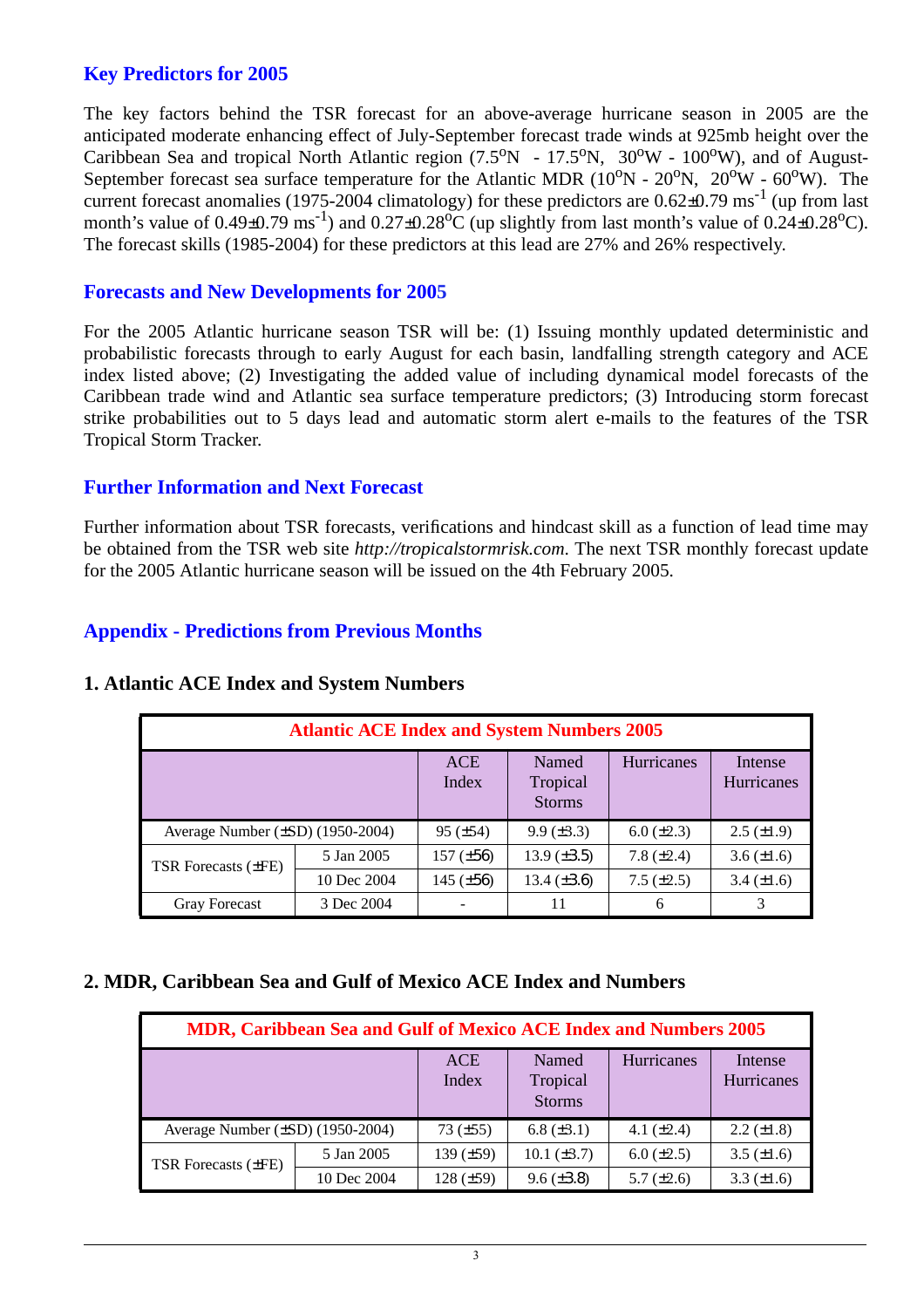## **Key Predictors for 2005**

The key factors behind the TSR forecast for an above-average hurricane season in 2005 are the anticipated moderate enhancing effect of July-September forecast trade winds at 925mb height over the Caribbean Sea and tropical North Atlantic region  $(7.5^{\circ}N - 17.5^{\circ}N, 30^{\circ}W - 100^{\circ}W)$ , and of August-September forecast sea surface temperature for the Atlantic MDR  $(10^{\circ}N - 20^{\circ}N, 20^{\circ}W - 60^{\circ}W)$ . The current forecast anomalies (1975-2004 climatology) for these predictors are  $0.62\pm0.79$  ms<sup>-1</sup> (up from last month's value of  $0.49\pm0.79$  ms<sup>-1</sup>) and  $0.27\pm0.28$ °C (up slightly from last month's value of  $0.24\pm0.28$ °C). The forecast skills (1985-2004) for these predictors at this lead are 27% and 26% respectively.

#### **Forecasts and New Developments for 2005**

For the 2005 Atlantic hurricane season TSR will be: (1) Issuing monthly updated deterministic and probabilistic forecasts through to early August for each basin, landfalling strength category and ACE index listed above; (2) Investigating the added value of including dynamical model forecasts of the Caribbean trade wind and Atlantic sea surface temperature predictors; (3) Introducing storm forecast strike probabilities out to 5 days lead and automatic storm alert e-mails to the features of the TSR Tropical Storm Tracker.

### **Further Information and Next Forecast**

Further information about TSR forecasts, verifications and hindcast skill as a function of lead time may be obtained from the TSR web site *http://tropicalstormrisk.com*. The next TSR monthly forecast update for the 2005 Atlantic hurricane season will be issued on the 4th February 2005.

## **Appendix - Predictions from Previous Months**

| <b>Atlantic ACE Index and System Numbers 2005</b> |                     |                                    |                    |                       |                   |  |  |  |
|---------------------------------------------------|---------------------|------------------------------------|--------------------|-----------------------|-------------------|--|--|--|
|                                                   | <b>ACE</b><br>Index | Named<br>Tropical<br><b>Storms</b> | Hurricanes         | Intense<br>Hurricanes |                   |  |  |  |
| Average Number $(\pm SD)$ (1950-2004)             |                     | $95 (\pm 54)$                      | $9.9 \ (\pm 3.3)$  | $6.0 (\pm 2.3)$       | $2.5 \ (\pm 1.9)$ |  |  |  |
| TSR Forecasts (±FE)                               | 5 Jan 2005          | $157 (\pm 56)$                     | $13.9 \ (\pm 3.5)$ | 7.8 $(\pm 2.4)$       | $3.6 (\pm 1.6)$   |  |  |  |
|                                                   | 10 Dec 2004         | 145 $(\pm 56)$                     | 13.4 $(\pm 3.6)$   | $7.5 \ (\pm 2.5)$     | $3.4 (\pm 1.6)$   |  |  |  |
| <b>Gray Forecast</b>                              | 3 Dec 2004          |                                    | 11                 | 6                     |                   |  |  |  |

## **1. Atlantic ACE Index and System Numbers**

#### **2. MDR, Caribbean Sea and Gulf of Mexico ACE Index and Numbers**

| MDR, Caribbean Sea and Gulf of Mexico ACE Index and Numbers 2005 |             |                     |                                    |                   |                       |  |  |
|------------------------------------------------------------------|-------------|---------------------|------------------------------------|-------------------|-----------------------|--|--|
|                                                                  |             | <b>ACE</b><br>Index | Named<br>Tropical<br><b>Storms</b> | Hurricanes        | Intense<br>Hurricanes |  |  |
| Average Number (±SD) (1950-2004)                                 |             | $73 (\pm 55)$       | $6.8 (\pm 3.1)$                    | 4.1 $(\pm 2.4)$   | $2.2 \ (\pm 1.8)$     |  |  |
| <b>TSR Forecasts (±FE)</b>                                       | 5 Jan 2005  | 139 $(\pm 59)$      | $10.1 (\pm 3.7)$                   | $6.0 \ (\pm 2.5)$ | $3.5 (\pm 1.6)$       |  |  |
|                                                                  | 10 Dec 2004 | 128 $(\pm 59)$      | $9.6 (\pm 3.8)$                    | 5.7 $(\pm 2.6)$   | $3.3 (\pm 1.6)$       |  |  |